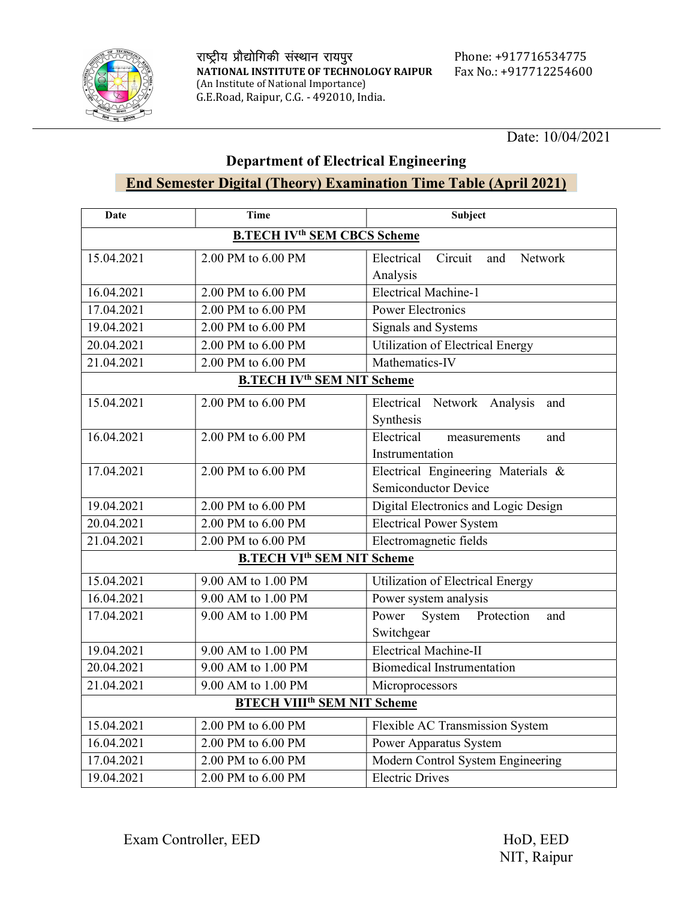

#### Department of Electrical Engineering

### End Semester Digital (Theory) Examination Time Table (April 2021)

| Date                                          | Time                                          | Subject                                                    |
|-----------------------------------------------|-----------------------------------------------|------------------------------------------------------------|
| <b>B.TECH IV<sup>th</sup> SEM CBCS Scheme</b> |                                               |                                                            |
| 15.04.2021                                    | 2.00 PM to 6.00 PM                            | Electrical<br>Circuit<br>Network<br>and<br>Analysis        |
| 16.04.2021                                    | 2.00 PM to 6.00 PM                            | <b>Electrical Machine-1</b>                                |
| 17.04.2021                                    | 2.00 PM to 6.00 PM                            | <b>Power Electronics</b>                                   |
| 19.04.2021                                    | 2.00 PM to 6.00 PM                            | <b>Signals and Systems</b>                                 |
| 20.04.2021                                    | 2.00 PM to 6.00 PM                            | <b>Utilization of Electrical Energy</b>                    |
| 21.04.2021                                    | 2.00 PM to 6.00 PM                            | Mathematics-IV                                             |
| <b>B.TECH IV<sup>th</sup> SEM NIT Scheme</b>  |                                               |                                                            |
| 15.04.2021                                    | 2.00 PM to 6.00 PM                            | Electrical Network Analysis<br>and<br>Synthesis            |
| 16.04.2021                                    | 2.00 PM to 6.00 PM                            | Electrical<br>and<br>measurements<br>Instrumentation       |
| 17.04.2021                                    | 2.00 PM to 6.00 PM                            | Electrical Engineering Materials &<br>Semiconductor Device |
| 19.04.2021                                    | 2.00 PM to 6.00 PM                            | Digital Electronics and Logic Design                       |
| 20.04.2021                                    | 2.00 PM to 6.00 PM                            | <b>Electrical Power System</b>                             |
| 21.04.2021                                    | 2.00 PM to 6.00 PM                            | Electromagnetic fields                                     |
|                                               | <b>B.TECH VI<sup>th</sup> SEM NIT Scheme</b>  |                                                            |
| 15.04.2021                                    | 9.00 AM to 1.00 PM                            | Utilization of Electrical Energy                           |
| 16.04.2021                                    | 9.00 AM to 1.00 PM                            | Power system analysis                                      |
| 17.04.2021                                    | 9.00 AM to 1.00 PM                            | Power<br>System Protection<br>and                          |
|                                               |                                               | Switchgear                                                 |
| 19.04.2021                                    | 9.00 AM to 1.00 PM                            | <b>Electrical Machine-II</b>                               |
| 20.04.2021                                    | 9.00 AM to 1.00 PM                            | <b>Biomedical Instrumentation</b>                          |
| 21.04.2021                                    | 9.00 AM to 1.00 PM                            | Microprocessors                                            |
|                                               | <b>BTECH VIII<sup>th</sup> SEM NIT Scheme</b> |                                                            |
| 15.04.2021                                    | 2.00 PM to 6.00 PM                            | Flexible AC Transmission System                            |
| 16.04.2021                                    | 2.00 PM to 6.00 PM                            | Power Apparatus System                                     |
| 17.04.2021                                    | 2.00 PM to 6.00 PM                            | Modern Control System Engineering                          |
| 19.04.2021                                    | 2.00 PM to 6.00 PM                            | <b>Electric Drives</b>                                     |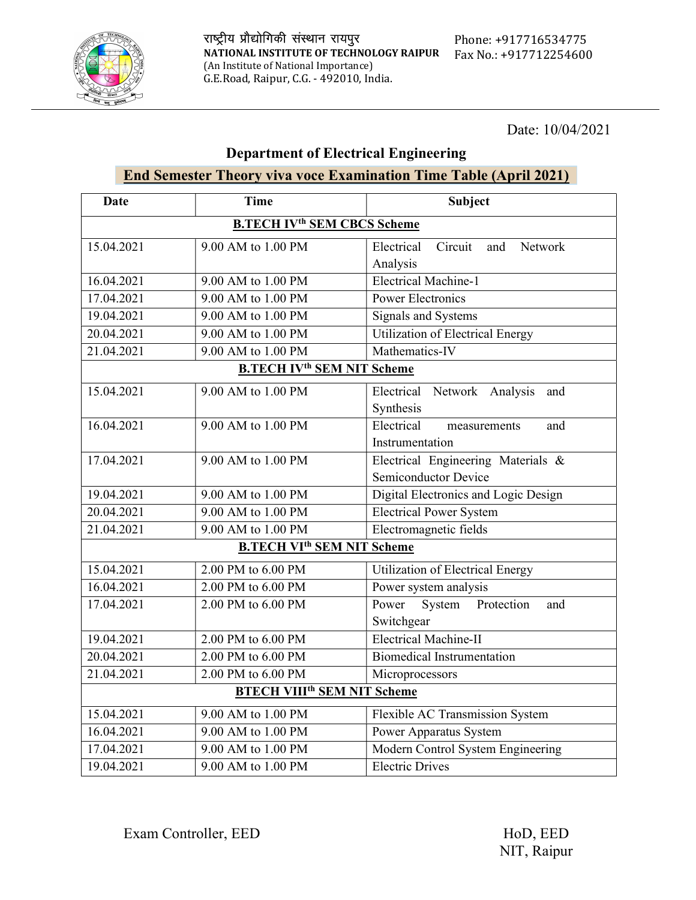

### Department of Electrical Engineering

#### End Semester Theory viva voce Examination Time Table (April 2021)

| Date                                          | <b>Time</b>                                   | <b>Subject</b>                          |
|-----------------------------------------------|-----------------------------------------------|-----------------------------------------|
| <b>B.TECH IV<sup>th</sup> SEM CBCS Scheme</b> |                                               |                                         |
| 15.04.2021                                    | 9.00 AM to 1.00 PM                            | Circuit<br>Electrical<br>Network<br>and |
|                                               |                                               | Analysis                                |
| 16.04.2021                                    | 9.00 AM to 1.00 PM                            | <b>Electrical Machine-1</b>             |
| 17.04.2021                                    | 9.00 AM to 1.00 PM                            | <b>Power Electronics</b>                |
| 19.04.2021                                    | 9.00 AM to 1.00 PM                            | Signals and Systems                     |
| 20.04.2021                                    | 9.00 AM to 1.00 PM                            | <b>Utilization of Electrical Energy</b> |
| 21.04.2021                                    | 9.00 AM to 1.00 PM                            | Mathematics-IV                          |
| <b>B.TECH IV<sup>th</sup> SEM NIT Scheme</b>  |                                               |                                         |
| 15.04.2021                                    | 9.00 AM to 1.00 PM                            | Electrical Network Analysis<br>and      |
|                                               |                                               | Synthesis                               |
| 16.04.2021                                    | 9.00 AM to 1.00 PM                            | Electrical<br>and<br>measurements       |
|                                               |                                               | Instrumentation                         |
| 17.04.2021                                    | 9.00 AM to 1.00 PM                            | Electrical Engineering Materials &      |
|                                               |                                               | Semiconductor Device                    |
| 19.04.2021                                    | 9.00 AM to 1.00 PM                            | Digital Electronics and Logic Design    |
| 20.04.2021                                    | 9.00 AM to 1.00 PM                            | <b>Electrical Power System</b>          |
| 21.04.2021                                    | 9.00 AM to 1.00 PM                            | Electromagnetic fields                  |
|                                               | <b>B.TECH VI<sup>th</sup> SEM NIT Scheme</b>  |                                         |
| 15.04.2021                                    | 2.00 PM to 6.00 PM                            | <b>Utilization of Electrical Energy</b> |
| 16.04.2021                                    | 2.00 PM to 6.00 PM                            | Power system analysis                   |
| 17.04.2021                                    | 2.00 PM to 6.00 PM                            | Power<br>System Protection<br>and       |
|                                               |                                               | Switchgear                              |
| 19.04.2021                                    | 2.00 PM to 6.00 PM                            | Electrical Machine-II                   |
| 20.04.2021                                    | 2.00 PM to 6.00 PM                            | <b>Biomedical Instrumentation</b>       |
| 21.04.2021                                    | 2.00 PM to 6.00 PM                            | Microprocessors                         |
|                                               | <b>BTECH VIII<sup>th</sup> SEM NIT Scheme</b> |                                         |
| 15.04.2021                                    | 9.00 AM to 1.00 PM                            | Flexible AC Transmission System         |
| 16.04.2021                                    | 9.00 AM to 1.00 PM                            | Power Apparatus System                  |
| 17.04.2021                                    | 9.00 AM to 1.00 PM                            | Modern Control System Engineering       |
| 19.04.2021                                    | 9.00 AM to 1.00 PM                            | <b>Electric Drives</b>                  |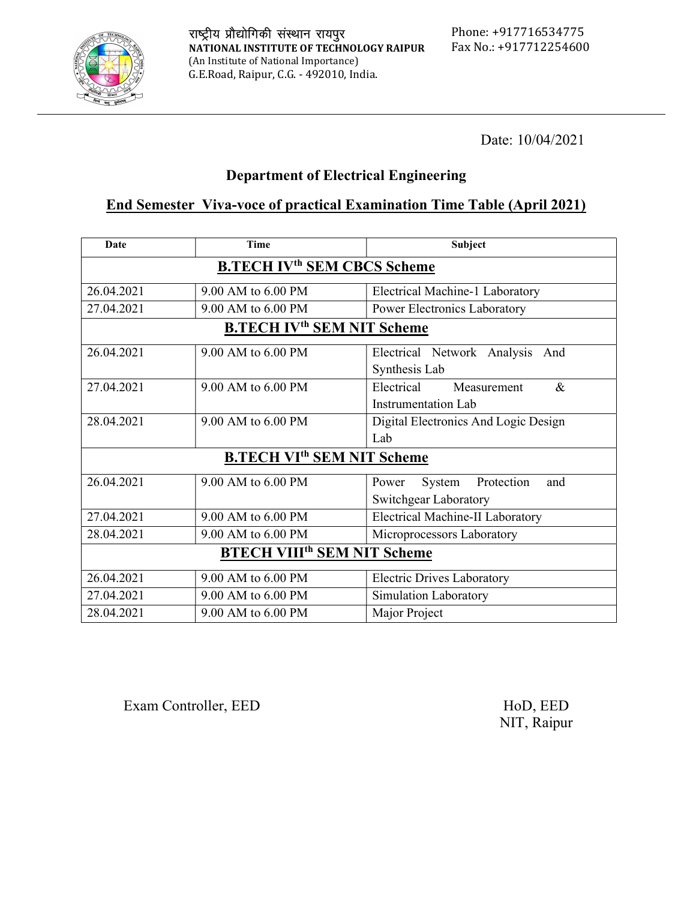

#### Department of Electrical Engineering

### End Semester Viva-voce of practical Examination Time Table (April 2021)

| <b>Date</b>                                   | <b>Time</b>                                  | Subject                              |
|-----------------------------------------------|----------------------------------------------|--------------------------------------|
| <b>B.TECH IV<sup>th</sup> SEM CBCS Scheme</b> |                                              |                                      |
| 26.04.2021                                    | 9.00 AM to 6.00 PM                           | Electrical Machine-1 Laboratory      |
| 27.04.2021                                    | 9.00 AM to 6.00 PM                           | Power Electronics Laboratory         |
| <b>B.TECH IV<sup>th</sup> SEM NIT Scheme</b>  |                                              |                                      |
| 26.04.2021                                    | 9.00 AM to 6.00 PM                           | Electrical Network Analysis<br>And   |
|                                               |                                              | Synthesis Lab                        |
| 27.04.2021                                    | 9.00 AM to 6.00 PM                           | Electrical<br>$\&$<br>Measurement    |
|                                               |                                              | Instrumentation Lab                  |
| 28.04.2021                                    | 9.00 AM to 6.00 PM                           | Digital Electronics And Logic Design |
|                                               |                                              | Lab                                  |
|                                               | <b>B.TECH VI<sup>th</sup> SEM NIT Scheme</b> |                                      |
| 26.04.2021                                    | 9.00 AM to 6.00 PM                           | Power<br>System<br>Protection<br>and |
|                                               |                                              | Switchgear Laboratory                |
| 27.04.2021                                    | 9.00 AM to 6.00 PM                           | Electrical Machine-II Laboratory     |
| 28.04.2021                                    | 9.00 AM to 6.00 PM                           | Microprocessors Laboratory           |
| <b>BTECH VIII<sup>th</sup> SEM NIT Scheme</b> |                                              |                                      |
| 26.04.2021                                    | 9.00 AM to 6.00 PM                           | <b>Electric Drives Laboratory</b>    |
| 27.04.2021                                    | 9.00 AM to 6.00 PM                           | Simulation Laboratory                |
| 28.04.2021                                    | 9.00 AM to 6.00 PM                           | Major Project                        |

Exam Controller, EED HoD, EED

NIT, Raipur